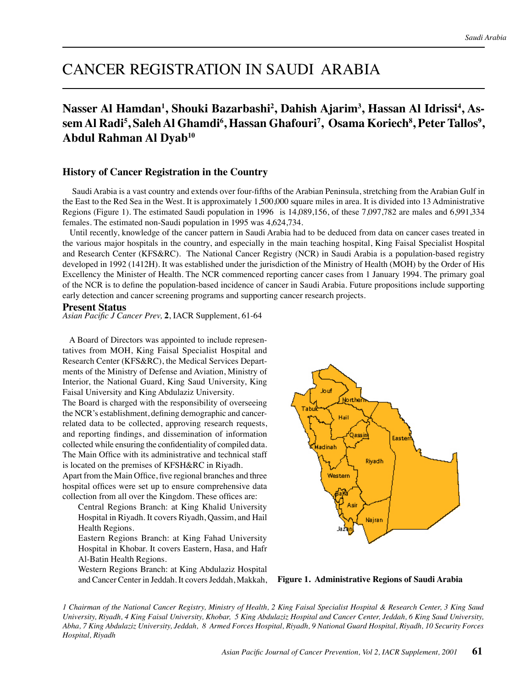# CANCER REGISTRATION IN SAUDI ARABIA

# Nasser Al Hamdan<sup>1</sup>, Shouki Bazarbashi<sup>2</sup>, Dahish Ajarim<sup>3</sup>, Hassan Al Idrissi<sup>4</sup>, As- ${\bf s}$ em Al  ${\bf Radi}$ <sup>5</sup>, ${\bf Saleh}$  Al  ${\bf Ghamdi}$ <sup>6</sup>, ${\bf Hassan}$   ${\bf Ghadouri}$ 7,  ${\bf Osama}$   ${\bf Koriech}$ 8, ${\bf Peter}$   ${\bf Tallos}$ 9, **Abdul Rahman Al Dyab10**

# **History of Cancer Registration in the Country**

 Saudi Arabia is a vast country and extends over four-fifths of the Arabian Peninsula, stretching from the Arabian Gulf in the East to the Red Sea in the West. It is approximately 1,500,000 square miles in area. It is divided into 13 Administrative Regions (Figure 1). The estimated Saudi population in 1996 is 14,089,156, of these 7,097,782 are males and 6,991,334 females. The estimated non-Saudi population in 1995 was 4,624,734.

 Until recently, knowledge of the cancer pattern in Saudi Arabia had to be deduced from data on cancer cases treated in the various major hospitals in the country, and especially in the main teaching hospital, King Faisal Specialist Hospital and Research Center (KFS&RC). The National Cancer Registry (NCR) in Saudi Arabia is a population-based registry developed in 1992 (1412H). It was established under the jurisdiction of the Ministry of Health (MOH) by the Order of His Excellency the Minister of Health. The NCR commenced reporting cancer cases from 1 January 1994. The primary goal of the NCR is to define the population-based incidence of cancer in Saudi Arabia. Future propositions include supporting early detection and cancer screening programs and supporting cancer research projects.

#### **Present Status**

*Asian Pacific J Cancer Prev,* **2**, IACR Supplement, 61-64

 A Board of Directors was appointed to include representatives from MOH, King Faisal Specialist Hospital and Research Center (KFS&RC), the Medical Services Departments of the Ministry of Defense and Aviation, Ministry of Interior, the National Guard, King Saud University, King Faisal University and King Abdulaziz University.

The Board is charged with the responsibility of overseeing the NCR's establishment, defining demographic and cancerrelated data to be collected, approving research requests, and reporting findings, and dissemination of information collected while ensuring the confidentiality of compiled data. The Main Office with its administrative and technical staff is located on the premises of KFSH&RC in Riyadh.

Apart from the Main Office, five regional branches and three hospital offices were set up to ensure comprehensive data collection from all over the Kingdom. These offices are:

Central Regions Branch: at King Khalid University Hospital in Riyadh. It covers Riyadh, Qassim, and Hail Health Regions.

Eastern Regions Branch: at King Fahad University Hospital in Khobar. It covers Eastern, Hasa, and Hafr Al-Batin Health Regions.

Western Regions Branch: at King Abdulaziz Hospital and Cancer Center in Jeddah. It covers Jeddah, Makkah, **Figure 1. Administrative Regions of Saudi Arabia**



*1 Chairman of the National Cancer Registry, Ministry of Health, 2 King Faisal Specialist Hospital & Research Center, 3 King Saud University, Riyadh, 4 King Faisal University, Khobar, 5 King Abdulaziz Hospital and Cancer Center, Jeddah, 6 King Saud University, Abha, 7 King Abdulaziz University, Jeddah, 8 Armed Forces Hospital, Riyadh, 9 National Guard Hospital, Riyadh, 10 Security Forces Hospital, Riyadh*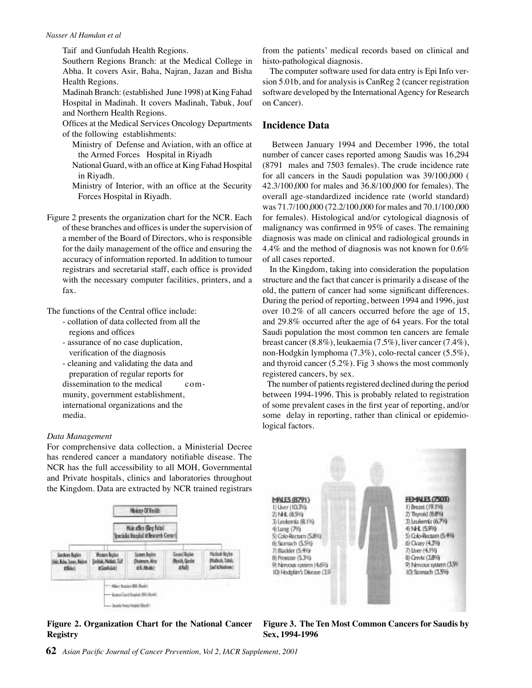#### *Nasser Al Hamdan et al*

Taif and Gunfudah Health Regions.

Southern Regions Branch: at the Medical College in Abha. It covers Asir, Baha, Najran, Jazan and Bisha Health Regions.

Madinah Branch: (established June 1998) at King Fahad Hospital in Madinah. It covers Madinah, Tabuk, Jouf and Northern Health Regions.

Offices at the Medical Services Oncology Departments of the following establishments:

- Ministry of Defense and Aviation, with an office at the Armed Forces Hospital in Riyadh
- National Guard, with an office at King Fahad Hospital in Riyadh.
- Ministry of Interior, with an office at the Security Forces Hospital in Riyadh.
- Figure 2 presents the organization chart for the NCR. Each of these branches and offices is under the supervision of a member of the Board of Directors, who is responsible for the daily management of the office and ensuring the accuracy of information reported. In addition to tumour registrars and secretarial staff, each office is provided with the necessary computer facilities, printers, and a fax.

The functions of the Central office include:

- collation of data collected from all the regions and offices
- assurance of no case duplication, verification of the diagnosis
- cleaning and validating the data and preparation of regular reports for dissemination to the medical community, government establishment, international organizations and the media.

#### *Data Management*

For comprehensive data collection, a Ministerial Decree has rendered cancer a mandatory notifiable disease. The NCR has the full accessibility to all MOH, Governmental and Private hospitals, clinics and laboratories throughout the Kingdom. Data are extracted by NCR trained registrars



**Figure 2. Organization Chart for the National Cancer Registry**

from the patients' medical records based on clinical and histo-pathological diagnosis.

 The computer software used for data entry is Epi Info version 5.01b, and for analysis is CanReg 2 (cancer registration software developed by the International Agency for Research on Cancer).

# **Incidence Data**

 Between January 1994 and December 1996, the total number of cancer cases reported among Saudis was 16,294 (8791 males and 7503 females). The crude incidence rate for all cancers in the Saudi population was 39/100,000 ( 42.3/100,000 for males and 36.8/100,000 for females). The overall age-standardized incidence rate (world standard) was 71.7/100,000 (72.2/100,000 for males and 70.1/100,000 for females). Histological and/or cytological diagnosis of malignancy was confirmed in 95% of cases. The remaining diagnosis was made on clinical and radiological grounds in 4.4% and the method of diagnosis was not known for 0.6% of all cases reported.

 In the Kingdom, taking into consideration the population structure and the fact that cancer is primarily a disease of the old, the pattern of cancer had some significant differences. During the period of reporting, between 1994 and 1996, just over 10.2% of all cancers occurred before the age of 15, and 29.8% occurred after the age of 64 years. For the total Saudi population the most common ten cancers are female breast cancer (8.8%), leukaemia (7.5%), liver cancer (7.4%), non-Hodgkin lymphoma (7.3%), colo-rectal cancer (5.5%), and thyroid cancer (5.2%). Fig 3 shows the most commonly registered cancers, by sex.

 The number of patients registered declined during the period between 1994-1996. This is probably related to registration of some prevalent cases in the first year of reporting, and/or some delay in reporting, rather than clinical or epidemiological factors.



**Figure 3. The Ten Most Common Cancers for Saudis by Sex, 1994-1996**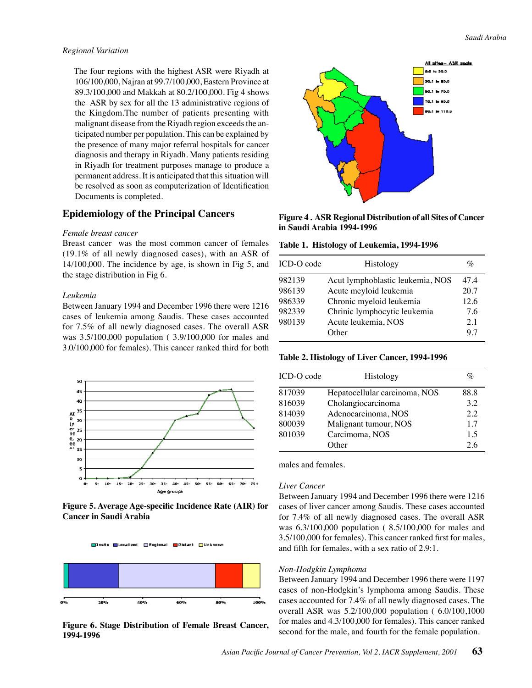#### *Regional Variation*

 The four regions with the highest ASR were Riyadh at 106/100,000, Najran at 99.7/100,000, Eastern Province at 89.3/100,000 and Makkah at 80.2/100,000. Fig 4 shows the ASR by sex for all the 13 administrative regions of the Kingdom.The number of patients presenting with malignant disease from the Riyadh region exceeds the anticipated number per population. This can be explained by the presence of many major referral hospitals for cancer diagnosis and therapy in Riyadh. Many patients residing in Riyadh for treatment purposes manage to produce a permanent address. It is anticipated that this situation will be resolved as soon as computerization of Identification Documents is completed.

# **Epidemiology of the Principal Cancers**

#### *Female breast cancer*

Breast cancer was the most common cancer of females (19.1% of all newly diagnosed cases), with an ASR of 14/100,000. The incidence by age, is shown in Fig 5, and the stage distribution in Fig 6.

#### *Leukemia*

Between January 1994 and December 1996 there were 1216 cases of leukemia among Saudis. These cases accounted for 7.5% of all newly diagnosed cases. The overall ASR was 3.5/100,000 population ( 3.9/100,000 for males and 3.0/100,000 for females). This cancer ranked third for both



**Figure 5. Average Age-specific Incidence Rate (AIR) for Cancer in Saudi Arabia**





**1994-1996**



**Figure 4 . ASR Regional Distribution of all Sites of Cancer in Saudi Arabia 1994-1996**

**Table 1. Histology of Leukemia, 1994-1996**

| ICD-O code | Histology                        | $\%$ |
|------------|----------------------------------|------|
| 982139     | Acut lymphoblastic leukemia, NOS | 47.4 |
| 986139     | Acute meyloid leukemia           | 20.7 |
| 986339     | Chronic myeloid leukemia         | 12.6 |
| 982339     | Chrinic lymphocytic leukemia     | 7.6  |
| 980139     | Acute leukemia, NOS              | 2.1  |
|            | Other                            | 97   |

**Table 2. Histology of Liver Cancer, 1994-1996**

| ICD-O code | Histology                     | $\%$ |
|------------|-------------------------------|------|
| 817039     | Hepatocellular carcinoma, NOS | 88.8 |
| 816039     | Cholangiocarcinoma            | 3.2  |
| 814039     | Adenocarcinoma, NOS           | 2.2  |
| 800039     | Malignant tumour, NOS         | 1.7  |
| 801039     | Carcimoma, NOS                | 1.5  |
|            | )ther                         | 26   |

males and females.

#### *Liver Cancer*

Between January 1994 and December 1996 there were 1216 cases of liver cancer among Saudis. These cases accounted for 7.4% of all newly diagnosed cases. The overall ASR was 6.3/100,000 population ( 8.5/100,000 for males and 3.5/100,000 for females). This cancer ranked first for males, and fifth for females, with a sex ratio of 2.9:1.

#### *Non-Hodgkin Lymphoma*

Between January 1994 and December 1996 there were 1197 cases of non-Hodgkin's lymphoma among Saudis. These cases accounted for 7.4% of all newly diagnosed cases. The overall ASR was 5.2/100,000 population ( 6.0/100,1000 for males and 4.3/100,000 for females). This cancer ranked Figure 6. Stage Distribution of Female Breast Cancer, <sup>for males and 4.3/100,000</sup> for females). This cancer ranked reading the second for the male, and fourth for the female population.